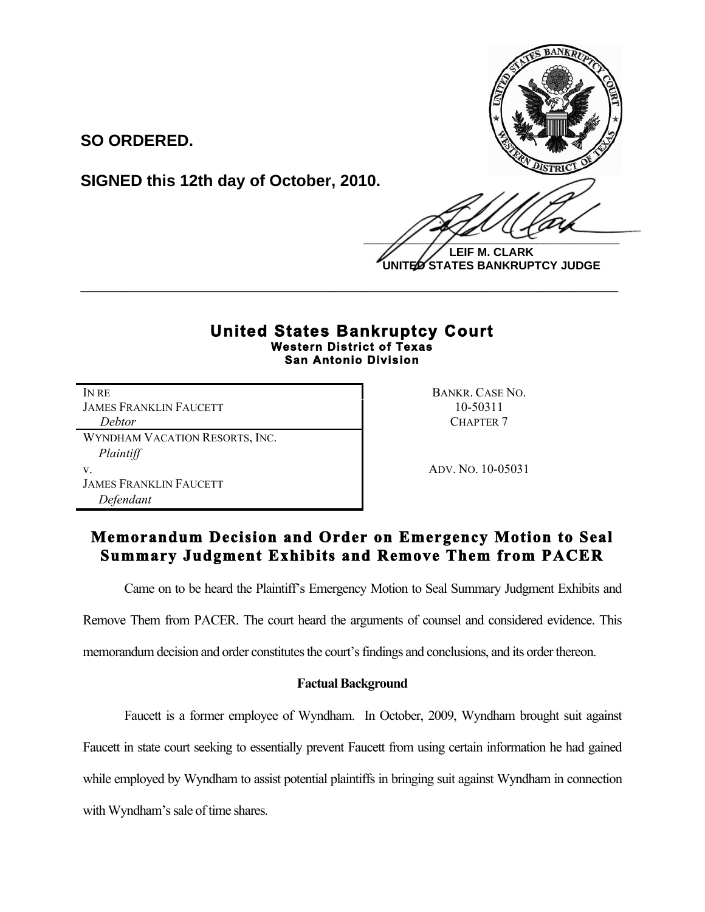

**SO ORDERED.**

**SIGNED this 12th day of October, 2010.**

 $\frac{1}{2}$ **LEIF M. CLARK**

**UNITED STATES BANKRUPTCY JUDGE**

## **United States Bankruptcy Court Western District of Texas San Antonio Division**

**\_\_\_\_\_\_\_\_\_\_\_\_\_\_\_\_\_\_\_\_\_\_\_\_\_\_\_\_\_\_\_\_\_\_\_\_\_\_\_\_\_\_\_\_\_\_\_\_\_\_\_\_\_\_\_\_\_\_\_\_**

IN RE BANKR. CASE NO. JAMES FRANKLIN FAUCETT 10-50311 **Debtor** CHAPTER 7 WYNDHAM VACATION RESORTS, INC. *Plaintiff* v. ADV. NO. 10-05031 JAMES FRANKLIN FAUCETT *Defendant*

# **Memorandum Decision and Order on Emergency Motion to Seal Summary Judgment Exhibits and Remove Them from PACER**

Came on to be heard the Plaintiff's Emergency Motion to Seal Summary Judgment Exhibits and

Remove Them from PACER. The court heard the arguments of counsel and considered evidence. This

memorandum decision and order constitutes the court's findings and conclusions, and its order thereon.

## **Factual Background**

Faucett is a former employee of Wyndham. In October, 2009, Wyndham brought suit against Faucett in state court seeking to essentially prevent Faucett from using certain information he had gained while employed by Wyndham to assist potential plaintiffs in bringing suit against Wyndham in connection with Wyndham's sale of time shares.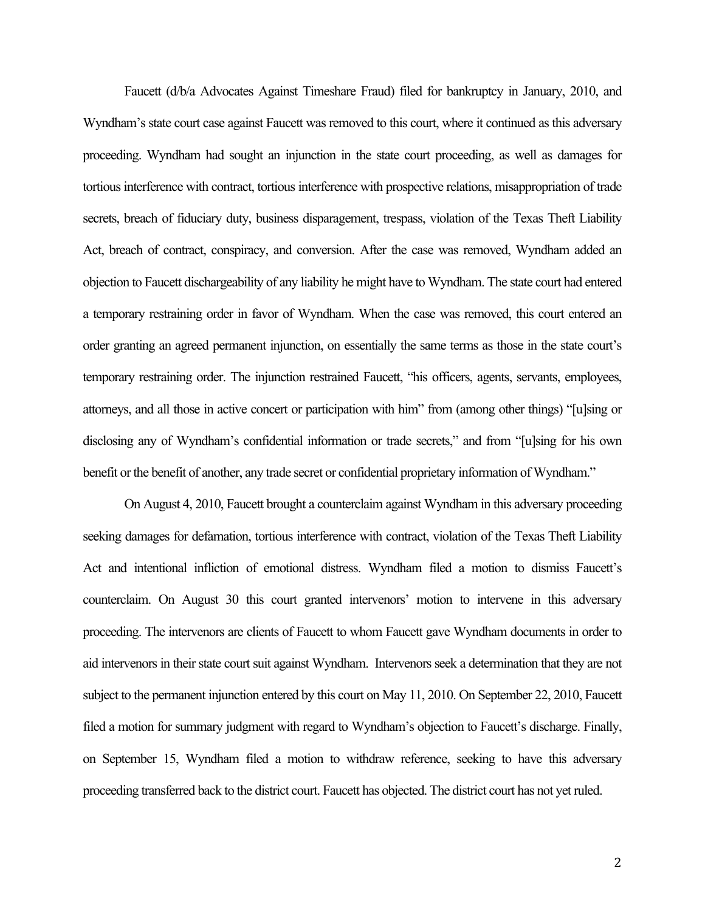Faucett (d/b/a Advocates Against Timeshare Fraud) filed for bankruptcy in January, 2010, and Wyndham's state court case against Faucett was removed to this court, where it continued as this adversary proceeding. Wyndham had sought an injunction in the state court proceeding, as well as damages for tortious interference with contract, tortious interference with prospective relations, misappropriation of trade secrets, breach of fiduciary duty, business disparagement, trespass, violation of the Texas Theft Liability Act, breach of contract, conspiracy, and conversion. After the case was removed, Wyndham added an objection to Faucett dischargeability of any liability he might have to Wyndham. The state court had entered a temporary restraining order in favor of Wyndham. When the case was removed, this court entered an order granting an agreed permanent injunction, on essentially the same terms as those in the state court's temporary restraining order. The injunction restrained Faucett, "his officers, agents, servants, employees, attorneys, and all those in active concert or participation with him" from (among other things) "[u]sing or disclosing any of Wyndham's confidential information or trade secrets," and from "[u]sing for his own benefit or the benefit of another, any trade secret or confidential proprietary information of Wyndham."

On August 4, 2010, Faucett brought a counterclaim against Wyndham in this adversary proceeding seeking damages for defamation, tortious interference with contract, violation of the Texas Theft Liability Act and intentional infliction of emotional distress. Wyndham filed a motion to dismiss Faucett's counterclaim. On August 30 this court granted intervenors' motion to intervene in this adversary proceeding. The intervenors are clients of Faucett to whom Faucett gave Wyndham documents in order to aid intervenors in their state court suit against Wyndham. Intervenors seek a determination that they are not subject to the permanent injunction entered by this court on May 11, 2010. On September 22, 2010, Faucett filed a motion for summary judgment with regard to Wyndham's objection to Faucett's discharge. Finally, on September 15, Wyndham filed a motion to withdraw reference, seeking to have this adversary proceeding transferred back to the district court. Faucett has objected. The district court has not yet ruled.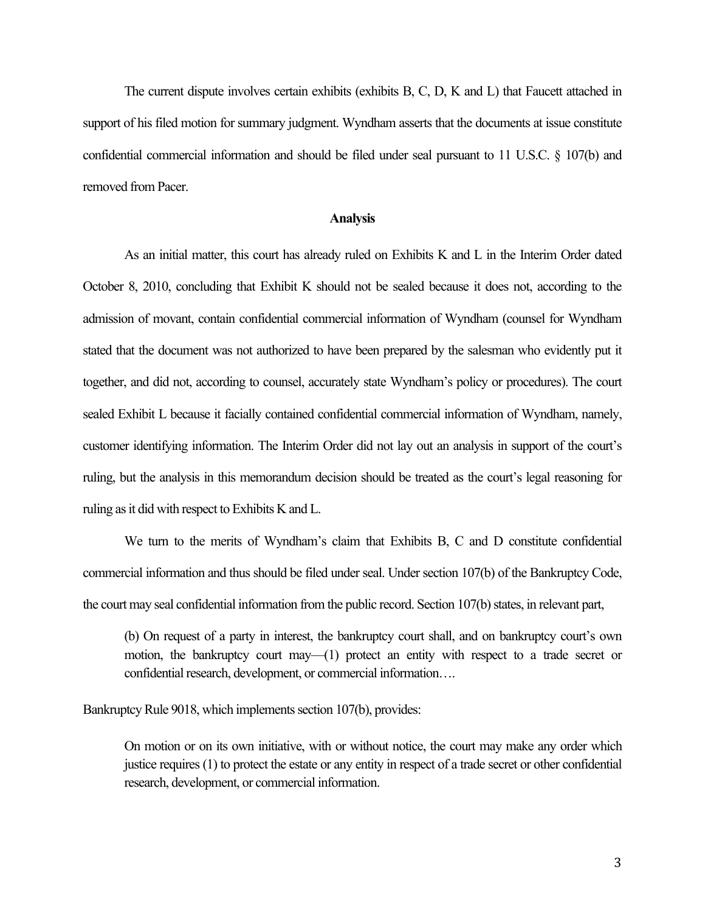The current dispute involves certain exhibits (exhibits B, C, D, K and L) that Faucett attached in support of his filed motion for summary judgment. Wyndham asserts that the documents at issue constitute confidential commercial information and should be filed under seal pursuant to 11 U.S.C. § 107(b) and removed from Pacer.

#### **Analysis**

As an initial matter, this court has already ruled on Exhibits K and L in the Interim Order dated October 8, 2010, concluding that Exhibit K should not be sealed because it does not, according to the admission of movant, contain confidential commercial information of Wyndham (counsel for Wyndham stated that the document was not authorized to have been prepared by the salesman who evidently put it together, and did not, according to counsel, accurately state Wyndham's policy or procedures). The court sealed Exhibit L because it facially contained confidential commercial information of Wyndham, namely, customer identifying information. The Interim Order did not lay out an analysis in support of the court's ruling, but the analysis in this memorandum decision should be treated as the court's legal reasoning for ruling as it did with respect to Exhibits K and L.

We turn to the merits of Wyndham's claim that Exhibits B, C and D constitute confidential commercial information and thus should be filed under seal. Under section 107(b) of the Bankruptcy Code, the court may seal confidential information from the public record. Section 107(b) states, in relevant part,

(b) On request of a party in interest, the bankruptcy court shall, and on bankruptcy court's own motion, the bankruptcy court may—(1) protect an entity with respect to a trade secret or confidential research, development, or commercial information….

Bankruptcy Rule 9018, which implements section 107(b), provides:

On motion or on its own initiative, with or without notice, the court may make any order which justice requires (1) to protect the estate or any entity in respect of a trade secret or other confidential research, development, or commercial information.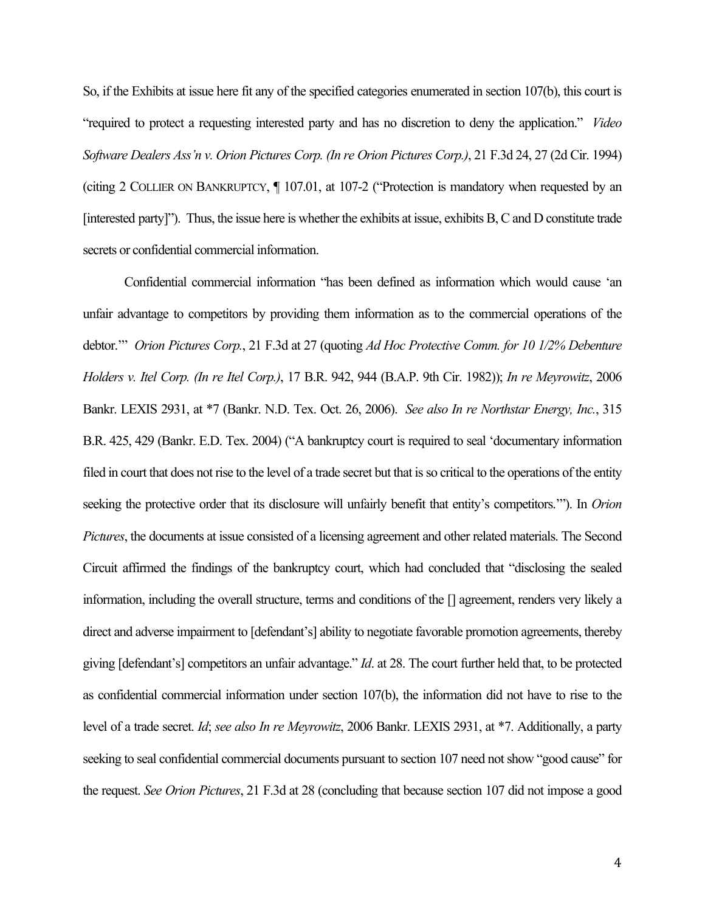So, if the Exhibits at issue here fit any of the specified categories enumerated in section 107(b), this court is "required to protect a requesting interested party and has no discretion to deny the application." *Video Software Dealers Ass'n v. Orion Pictures Corp. (In re Orion Pictures Corp.)*, 21 F.3d 24, 27 (2d Cir. 1994) (citing 2 COLLIER ON BANKRUPTCY, ¶ 107.01, at 107-2 ("Protection is mandatory when requested by an [interested party]"). Thus, the issue here is whether the exhibits at issue, exhibits B, C and D constitute trade secrets or confidential commercial information.

Confidential commercial information "has been defined as information which would cause 'an unfair advantage to competitors by providing them information as to the commercial operations of the debtor.'" *Orion Pictures Corp.*, 21 F.3d at 27 (quoting *Ad Hoc Protective Comm. for 10 1/2% Debenture Holders v. Itel Corp. (In re Itel Corp.)*, 17 B.R. 942, 944 (B.A.P. 9th Cir. 1982)); *In re Meyrowitz*, 2006 Bankr. LEXIS 2931, at \*7 (Bankr. N.D. Tex. Oct. 26, 2006). *See also In re Northstar Energy, Inc.*, 315 B.R. 425, 429 (Bankr. E.D. Tex. 2004) ("A bankruptcy court is required to seal 'documentary information filed in court that does not rise to the level of a trade secret but that is so critical to the operations of the entity seeking the protective order that its disclosure will unfairly benefit that entity's competitors.'"). In *Orion Pictures*, the documents at issue consisted of a licensing agreement and other related materials. The Second Circuit affirmed the findings of the bankruptcy court, which had concluded that "disclosing the sealed information, including the overall structure, terms and conditions of the [] agreement, renders very likely a direct and adverse impairment to [defendant's] ability to negotiate favorable promotion agreements, thereby giving [defendant's] competitors an unfair advantage." *Id*. at 28. The court further held that, to be protected as confidential commercial information under section 107(b), the information did not have to rise to the level of a trade secret. *Id*; *see also In re Meyrowitz*, 2006 Bankr. LEXIS 2931, at \*7. Additionally, a party seeking to seal confidential commercial documents pursuant to section 107 need not show "good cause" for the request. *See Orion Pictures*, 21 F.3d at 28 (concluding that because section 107 did not impose a good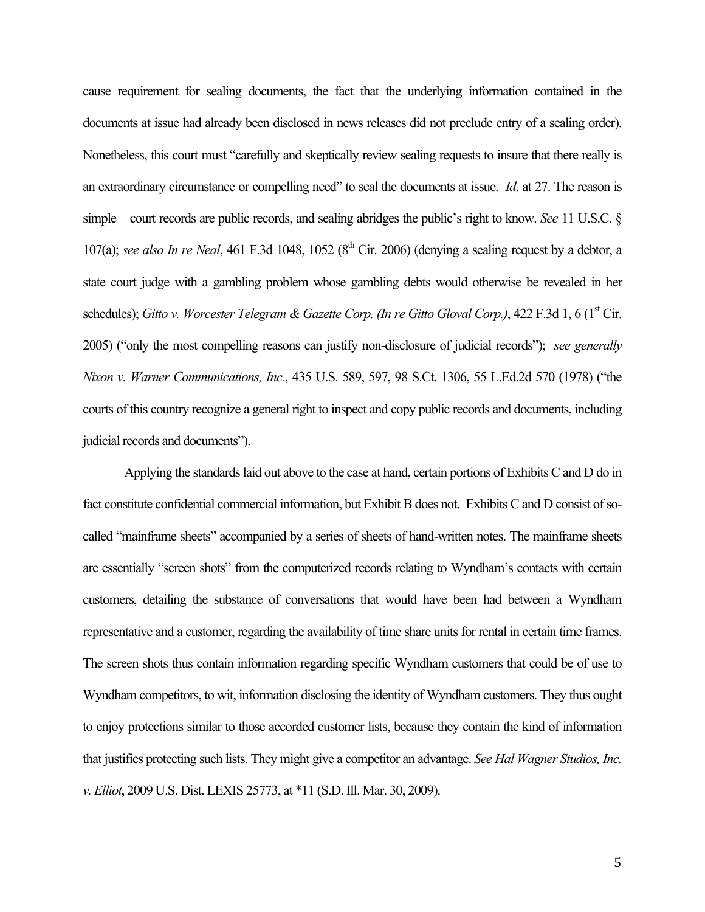cause requirement for sealing documents, the fact that the underlying information contained in the documents at issue had already been disclosed in news releases did not preclude entry of a sealing order). Nonetheless, this court must "carefully and skeptically review sealing requests to insure that there really is an extraordinary circumstance or compelling need" to seal the documents at issue. *Id*. at 27. The reason is simple – court records are public records, and sealing abridges the public's right to know. *See* 11 U.S.C. § 107(a); *see also In re Neal*, 461 F.3d 1048, 1052 ( $8<sup>th</sup>$  Cir. 2006) (denying a sealing request by a debtor, a state court judge with a gambling problem whose gambling debts would otherwise be revealed in her schedules); *Gitto v. Worcester Telegram & Gazette Corp. (In re Gitto Gloval Corp.)*, 422 F.3d 1, 6 (1<sup>st</sup> Cir. 2005) ("only the most compelling reasons can justify non-disclosure of judicial records"); *see generally Nixon v. Warner Communications, Inc.*, 435 U.S. 589, 597, 98 S.Ct. 1306, 55 L.Ed.2d 570 (1978) ("the courts of this country recognize a general right to inspect and copy public records and documents, including judicial records and documents").

Applying the standards laid out above to the case at hand, certain portions of Exhibits C and D do in fact constitute confidential commercial information, but Exhibit B does not. Exhibits C and D consist of socalled "mainframe sheets" accompanied by a series of sheets of hand-written notes. The mainframe sheets are essentially "screen shots" from the computerized records relating to Wyndham's contacts with certain customers, detailing the substance of conversations that would have been had between a Wyndham representative and a customer, regarding the availability of time share units for rental in certain time frames. The screen shots thus contain information regarding specific Wyndham customers that could be of use to Wyndham competitors, to wit, information disclosing the identity of Wyndham customers. They thus ought to enjoy protections similar to those accorded customer lists, because they contain the kind of information that justifies protecting such lists. They might give a competitor an advantage. *See Hal Wagner Studios, Inc. v. Elliot*, 2009 U.S. Dist. LEXIS 25773, at \*11 (S.D. Ill. Mar. 30, 2009).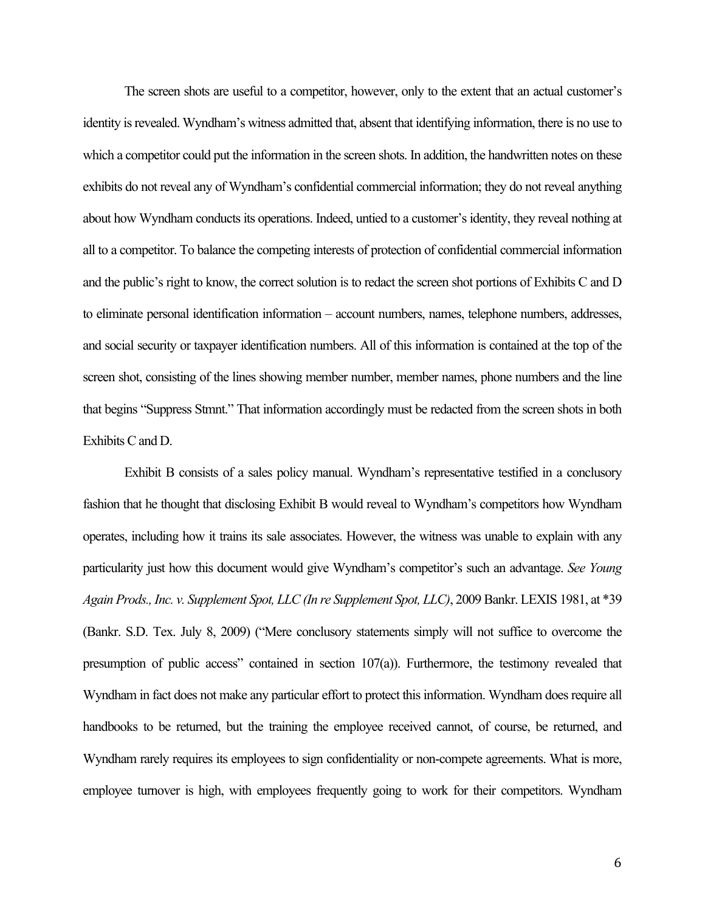The screen shots are useful to a competitor, however, only to the extent that an actual customer's identity is revealed. Wyndham's witness admitted that, absent that identifying information, there is no use to which a competitor could put the information in the screen shots. In addition, the handwritten notes on these exhibits do not reveal any of Wyndham's confidential commercial information; they do not reveal anything about how Wyndham conducts its operations. Indeed, untied to a customer's identity, they reveal nothing at all to a competitor. To balance the competing interests of protection of confidential commercial information and the public's right to know, the correct solution is to redact the screen shot portions of Exhibits C and D to eliminate personal identification information – account numbers, names, telephone numbers, addresses, and social security or taxpayer identification numbers. All of this information is contained at the top of the screen shot, consisting of the lines showing member number, member names, phone numbers and the line that begins "Suppress Stmnt." That information accordingly must be redacted from the screen shots in both Exhibits C and D.

Exhibit B consists of a sales policy manual. Wyndham's representative testified in a conclusory fashion that he thought that disclosing Exhibit B would reveal to Wyndham's competitors how Wyndham operates, including how it trains its sale associates. However, the witness was unable to explain with any particularity just how this document would give Wyndham's competitor's such an advantage. *See Young Again Prods., Inc. v. Supplement Spot, LLC (In re Supplement Spot, LLC)*, 2009 Bankr. LEXIS 1981, at \*39 (Bankr. S.D. Tex. July 8, 2009) ("Mere conclusory statements simply will not suffice to overcome the presumption of public access" contained in section 107(a)). Furthermore, the testimony revealed that Wyndham in fact does not make any particular effort to protect this information. Wyndham does require all handbooks to be returned, but the training the employee received cannot, of course, be returned, and Wyndham rarely requires its employees to sign confidentiality or non-compete agreements. What is more, employee turnover is high, with employees frequently going to work for their competitors. Wyndham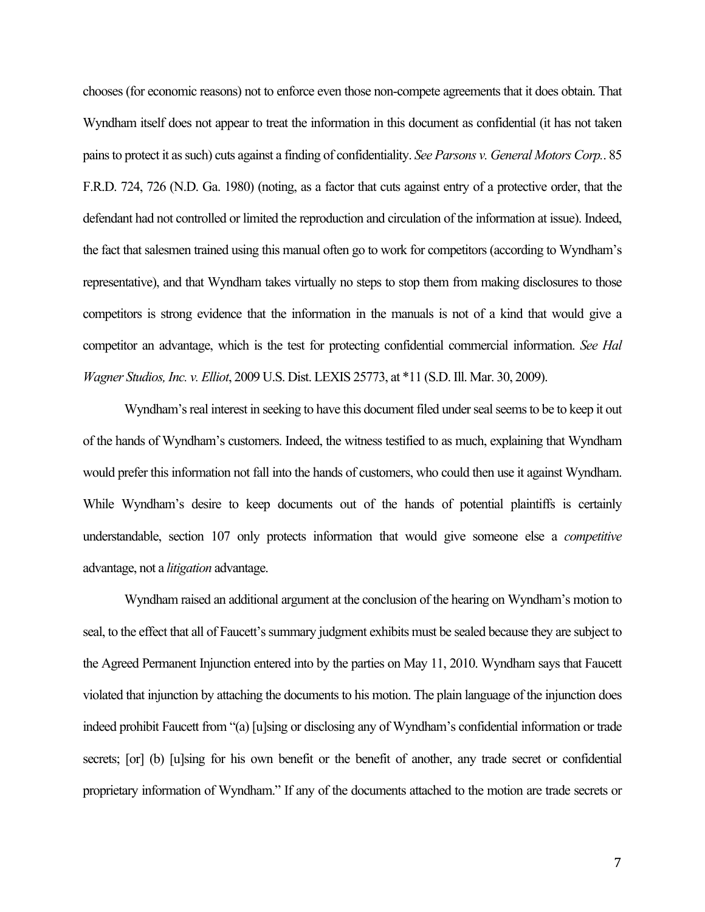chooses (for economic reasons) not to enforce even those non-compete agreements that it does obtain. That Wyndham itself does not appear to treat the information in this document as confidential (it has not taken pains to protect it as such) cuts against a finding of confidentiality. *See Parsons v. General Motors Corp.*. 85 F.R.D. 724, 726 (N.D. Ga. 1980) (noting, as a factor that cuts against entry of a protective order, that the defendant had not controlled or limited the reproduction and circulation of the information at issue). Indeed, the fact that salesmen trained using this manual often go to work for competitors (according to Wyndham's representative), and that Wyndham takes virtually no steps to stop them from making disclosures to those competitors is strong evidence that the information in the manuals is not of a kind that would give a competitor an advantage, which is the test for protecting confidential commercial information. *See Hal Wagner Studios, Inc. v. Elliot*, 2009 U.S. Dist. LEXIS 25773, at \*11 (S.D. Ill. Mar. 30, 2009).

Wyndham's real interest in seeking to have this document filed under seal seems to be to keep it out of the hands of Wyndham's customers. Indeed, the witness testified to as much, explaining that Wyndham would prefer this information not fall into the hands of customers, who could then use it against Wyndham. While Wyndham's desire to keep documents out of the hands of potential plaintiffs is certainly understandable, section 107 only protects information that would give someone else a *competitive*  advantage, not a *litigation* advantage.

Wyndham raised an additional argument at the conclusion of the hearing on Wyndham's motion to seal, to the effect that all of Faucett's summary judgment exhibits must be sealed because they are subject to the Agreed Permanent Injunction entered into by the parties on May 11, 2010. Wyndham says that Faucett violated that injunction by attaching the documents to his motion. The plain language of the injunction does indeed prohibit Faucett from "(a) [u]sing or disclosing any of Wyndham's confidential information or trade secrets; [or] (b) [u]sing for his own benefit or the benefit of another, any trade secret or confidential proprietary information of Wyndham." If any of the documents attached to the motion are trade secrets or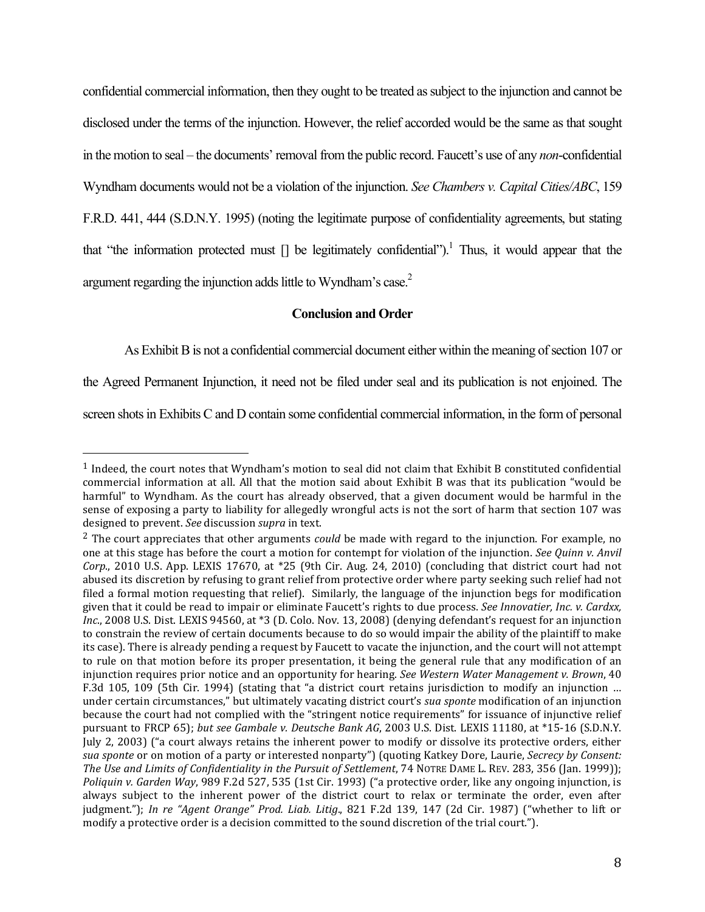confidential commercial information, then they ought to be treated as subject to the injunction and cannot be disclosed under the terms of the injunction. However, the relief accorded would be the same as that sought in the motion to seal – the documents' removal from the public record. Faucett's use of any *non*-confidential Wyndham documents would not be a violation of the injunction. *See Chambers v. Capital Cities/ABC*, 159 F.R.D. 441, 444 (S.D.N.Y. 1995) (noting the legitimate purpose of confidentiality agreements, but stating that "the information protected must  $\iint$  be legitimately confidential").<sup>1</sup> Thus, it would appear that the argument regarding the injunction adds little to Wyndham's case.2

#### **Conclusion and Order**

As Exhibit B is not a confidential commercial document either within the meaning of section 107 or

the Agreed Permanent Injunction, it need not be filed under seal and its publication is not enjoined. The

screen shots in Exhibits C and D contain some confidential commercial information, in the form of personal

!!!!!!!!!!!!!!!!!!!!!!!!!!!!!!!!!!!!!!!!!!!!!!!!!!!!!!!

 $1$  Indeed, the court notes that Wyndham's motion to seal did not claim that Exhibit B constituted confidential commercial information at all. All that the motion said about Exhibit B was that its publication "would be harmful" to Wyndham. As the court has already observed, that a given document would be harmful in the sense of exposing a party to liability for allegedly wrongful acts is not the sort of harm that section 107 was designed to prevent. See discussion *supra* in text.

<sup>&</sup>lt;sup>2</sup> The court appreciates that other arguments *could* be made with regard to the injunction. For example, no one at this stage has before the court a motion for contempt for violation of the injunction. *See Quinn v. Anvil Corp.*, 2010 U.S. App. LEXIS 17670, at \*25 (9th Cir. Aug. 24, 2010) (concluding that district court had not abused its discretion by refusing to grant relief from protective order where party seeking such relief had not filed a formal motion requesting that relief). Similarly, the language of the injunction begs for modification given that it could be read to impair or eliminate Faucett's rights to due process. *See Innovatier, Inc. v. Cardxx, Inc.*, 2008 U.S. Dist. LEXIS 94560, at \*3 (D. Colo. Nov. 13, 2008) (denying defendant's request for an injunction to constrain the review of certain documents because to do so would impair the ability of the plaintiff to make its case). There is already pending a request by Faucett to vacate the injunction, and the court will not attempt to rule on that motion before its proper presentation, it being the general rule that any modification of an injunction requires prior notice and an opportunity for hearing. *See Western Water Management v. Brown*, 40 F.3d 105, 109 (5th Cir. 1994) (stating that "a district court retains jurisdiction to modify an injunction ... under certain circumstances," but ultimately vacating district court's *sua sponte* modification of an injunction because the court had not complied with the "stringent notice requirements" for issuance of injunctive relief pursuant to FRCP 65); *but see Gambale v. Deutsche Bank AG*, 2003 U.S. Dist. LEXIS 11180, at \*15-16 (S.D.N.Y. July 2, 2003) ("a court always retains the inherent power to modify or dissolve its protective orders, either *sua sponte* or on motion of a party or interested nonparty") (quoting Katkey Dore, Laurie, *Secrecy by Consent: The Use and Limits of Confidentiality in the Pursuit of Settlement*, 74 NOTRE DAME L. REV. 283, 356 (Jan. 1999)); *Poliquin v. Garden Way,* 989 F.2d 527, 535 (1st Cir. 1993) ("a protective order, like any ongoing injunction, is always subject to the inherent power of the district court to relax or terminate the order, even after judgment."); *In re "Agent Orange" Prod. Liab. Litig.*, 821 F.2d 139, 147 (2d Cir. 1987) ("whether to lift or modify a protective order is a decision committed to the sound discretion of the trial court.").